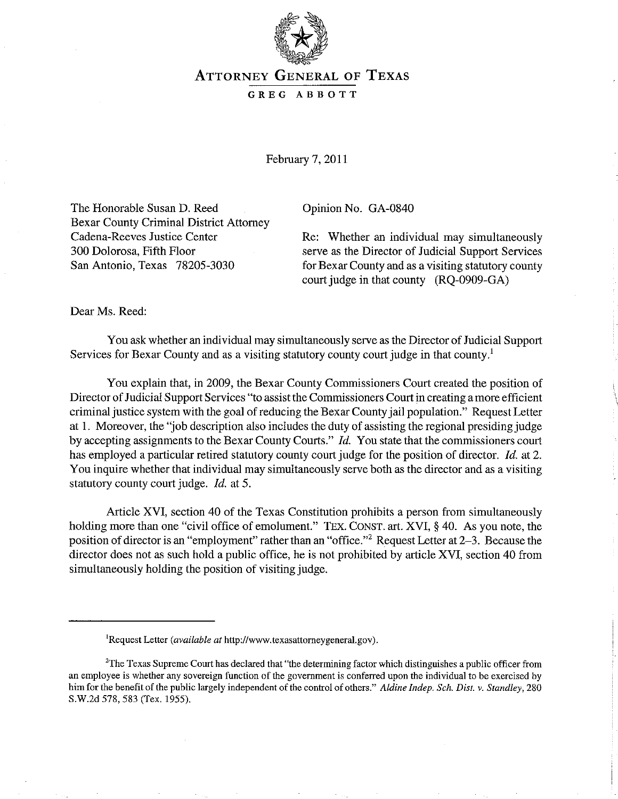

## ATTORNEY GENERAL OF TEXAS

GREG ABBOTT

February 7,2011

The Honorable Susan D. Reed Bexar County Criminal District Attorney Cadena-Reeves Justice Center 300 Dolorosa, Fifth Floor San Antonio, Texas 78205-3030

Opinion No. GA-0840

Re: Whether an individual may simultaneously serve as the Director of Judicial Support Services for Bexar County and as a visiting statutory county court judge in that county (RQ-0909-GA)

Dear Ms. Reed:

You ask whether an individual may simultaneously serve as the Director of Judicial Support Services for Bexar County and as a visiting statutory county court judge in that county.<sup>1</sup>

You explain that, in 2009, the Bexar County Commissioners Court created the position of Director of Judicial Support Services "to assist the Commissioners Court in creating a more efficient criminal justice system with the goal of reducing the Bexar County jail population." Request Letter at 1. Moreover, the "job description also includes the duty of assisting the regional presiding judge by accepting assignments to the Bexar County Courts." *Id.* You state that the commissioners court has employed a particular retired statutory county court judge for the position of director. *Id.* at 2. You inquire whether that individual may simultaneously serve both as the director and as a visiting statutory county court judge. *Id.* at 5.

Article XVI, section 40 of the Texas Constitution prohibits a person from simultaneously holding more than one "civil office of emolument." TEX. CONST. art. XVI, § 40. As you note, the position of director is an "employment" rather than an "office."<sup>2</sup> Request Letter at 2-3. Because the director does not as such hold a public office, he is not prohibited by article XVI, section 40 from simultaneously holding the position of visiting judge.

<sup>&#</sup>x27;Request Letter *(available at* http://www.texasattorneygeneral.gov).

<sup>&</sup>lt;sup>2</sup>The Texas Supreme Court has declared that "the determining factor which distinguishes a public officer from **an employee is whether any sovereign function of the government is conferred upon the individual to be exercised by**  him for the benefit of the public largely independent of the control of others." *Aldine Indep. Sch. Dist.* v. *Standley, 280*  S.W.2d 578, 583 (Tex. 1955).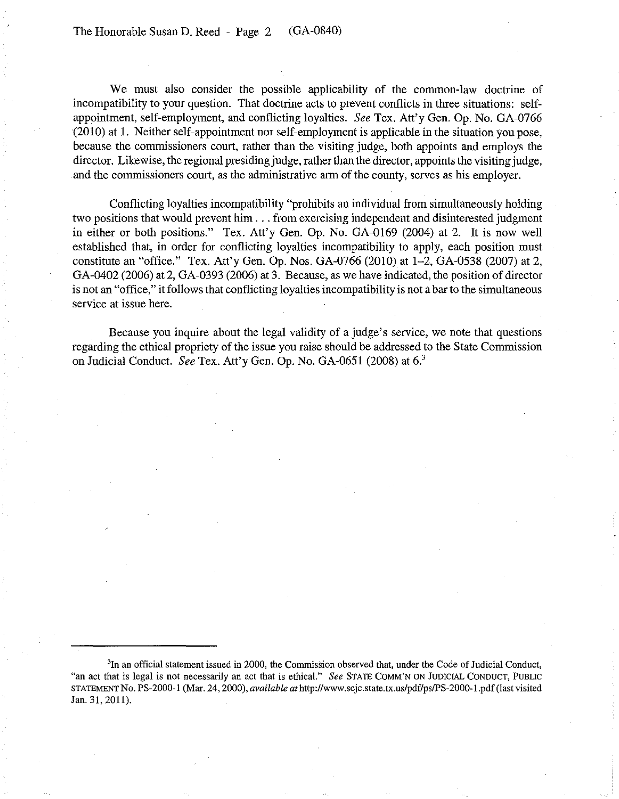We must also consider the possible applicability of the common-law doctrine of incompatibility to your question. That doctrine acts to prevent conflicts in three situations: selfappointment, self-employment, and conflicting loyalties. *See* Tex. Att'y Gen. Op. No. GA-0766 (201O) at 1. Neither self-appointment nor self-employment is applicable in the situation you pose, because the commissioners court, rather than the visiting judge, both appoints and employs the director. Likewise, the regional presiding judge, rather than the director, appoints the visiting judge, and the commissioners court, as the administrative arm of the county, serves as his employer.

Conflicting loyalties incompatibility "prohibits an individual from simultaneously holding two positions that would prevent him ... from exercising independent and disinterested judgment in either or both positions." Tex. Att'y Gen. Op. No. GA-0169 (2004) at 2. It is now well established that, in order for conflicting loyalties incompatibility to apply, each position must constitute an "office." Tex. Att'y Gen. Op. Nos. GA-0766 (2010) at 1-2, GA-0538 (2007) at 2, GA-0402 (2006) at 2, GA-0393 (2006) at 3. Because, as we have indicated, the position of director is not an "office," it follows that conflicting loyalties incompatibility is not a bar to the simultaneous service at issue here.

Because you inquire about the legal validity of a judge's service, we note that questions regarding the ethical propriety of the issue you raise should be addressed to the State Commission on Judicial Conduct. *See* Tex. Att'yGen. Op. No. GA-065l (2008) at 6.<sup>3</sup>

<sup>&</sup>lt;sup>3</sup>In an official statement issued in 2000, the Commission observed that, under the Code of Judicial Conduct, "an act that is legal is not necessarily an act that is ethical." *See STATE COMM'N ON JUDICIAL CONDUCT*, PUBLIC STA1EMENTNo. PS-2000-1 (Mar. 24, 2000), *available at* http://www.scjc.state.tx.us/pdf/psIPS-2000-I.pdf(last visited Jan. 31, 2011).